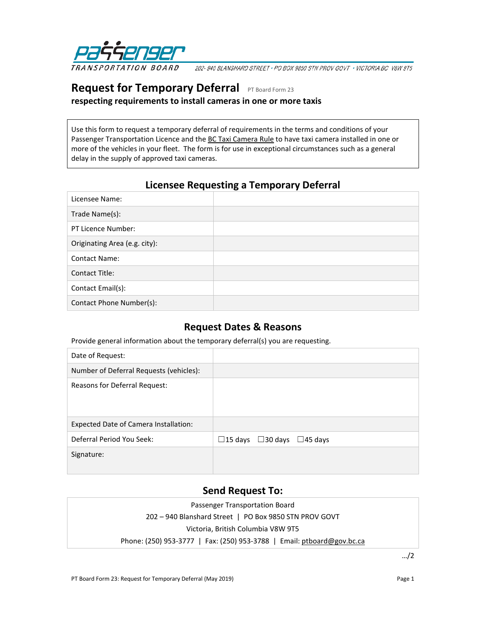

202-940 BLANSHARD STREET · PO BOX 9850 STN PROV GOVT · VICTORIA BC V8W 9T5

# **Request for Temporary Deferral** PT Board Form 23

**respecting requirements to install cameras in one or more taxis**

Use this form to request a temporary deferral of requirements in the terms and conditions of your Passenger Transportation Licence and the [BC Taxi Camera Rule](https://www.ptboard.bc.ca/cameras.htm) to have taxi camera installed in one or more of the vehicles in your fleet. The form is for use in exceptional circumstances such as a general delay in the supply of approved taxi cameras.

## **Licensee Requesting a Temporary Deferral**

| Licensee Name:                |  |
|-------------------------------|--|
| Trade Name(s):                |  |
| PT Licence Number:            |  |
| Originating Area (e.g. city): |  |
| <b>Contact Name:</b>          |  |
| <b>Contact Title:</b>         |  |
| Contact Email(s):             |  |
| Contact Phone Number(s):      |  |

#### **Request Dates & Reasons**

Provide general information about the temporary deferral(s) you are requesting.

| Date of Request:                        |                            |
|-----------------------------------------|----------------------------|
| Number of Deferral Requests (vehicles): |                            |
| Reasons for Deferral Request:           |                            |
| Expected Date of Camera Installation:   |                            |
| Deferral Period You Seek:               | □15 days □30 days □45 days |
| Signature:                              |                            |

#### **Send Request To:**

| Passenger Transportation Board                                         |  |  |  |
|------------------------------------------------------------------------|--|--|--|
| 202 - 940 Blanshard Street   PO Box 9850 STN PROV GOVT                 |  |  |  |
| Victoria, British Columbia V8W 9T5                                     |  |  |  |
| Phone: (250) 953-3777   Fax: (250) 953-3788   Email: ptboard@gov.bc.ca |  |  |  |